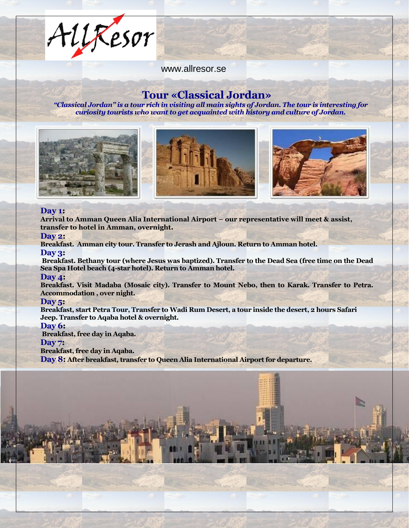AllResor

www.allresor.se

# **Tour «Classical Jordan»**

*"Classical Jordan" is a tour rich in visiting all main sights of Jordan. The tour is interesting for curiosity tourists who want to get acquainted with history and culture of Jordan.*



#### **Day 1:**

**Arrival to Amman Queen Alia International Airport – our representative will meet & assist, transfer to hotel in Amman, overnight.**

#### **Day 2:**

**Breakfast. Amman city tour. Transfer to Jerash and Ajloun. Return to Amman hotel. Day 3:**

**Breakfast. Bethany tour (where Jesus was baptized). Transfer to the Dead Sea (free time on the Dead Sea Spa Hotel beach (4-star hotel). Return to Amman hotel.**

### **Day 4:**

**Breakfast. Visit Madaba (Mosaic city). Transfer to Mount Nebo, then to Karak. Transfer to Petra. Accommodation , over night.**

#### **Day 5:**

**Breakfast, start Petra Tour, Transfer to Wadi Rum Desert, a tour inside the desert, 2 hours Safari Jeep. Transfer to Aqaba hotel & overnight.** 

#### **Day 6:**

**Breakfast, free day in Aqaba. Day 7:** 

### **Breakfast, free day in Aqaba.**

**Day 8: After breakfast, transfer to Queen Alia International Airport for departure.**